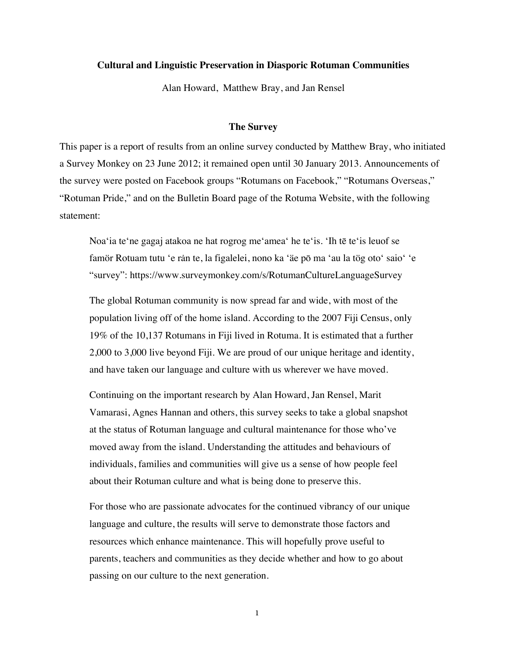# **Cultural and Linguistic Preservation in Diasporic Rotuman Communities**

Alan Howard, Matthew Bray, and Jan Rensel

## **The Survey**

This paper is a report of results from an online survey conducted by Matthew Bray, who initiated a Survey Monkey on 23 June 2012; it remained open until 30 January 2013. Announcements of the survey were posted on Facebook groups "Rotumans on Facebook," "Rotumans Overseas," "Rotuman Pride," and on the Bulletin Board page of the Rotuma Website, with the following statement:

Noa'ia te'ne gagaj atakoa ne hat rogrog me'amea' he te'is. 'Ih tē te'is leuof se famör Rotuam tutu 'e rán te, la figalelei, nono ka 'äe pō ma 'au la tög oto' saio' 'e "survey": https://www.surveymonkey.com/s/RotumanCultureLanguageSurvey

The global Rotuman community is now spread far and wide, with most of the population living off of the home island. According to the 2007 Fiji Census, only 19% of the 10,137 Rotumans in Fiji lived in Rotuma. It is estimated that a further 2,000 to 3,000 live beyond Fiji. We are proud of our unique heritage and identity, and have taken our language and culture with us wherever we have moved.

Continuing on the important research by Alan Howard, Jan Rensel, Marit Vamarasi, Agnes Hannan and others, this survey seeks to take a global snapshot at the status of Rotuman language and cultural maintenance for those who've moved away from the island. Understanding the attitudes and behaviours of individuals, families and communities will give us a sense of how people feel about their Rotuman culture and what is being done to preserve this.

For those who are passionate advocates for the continued vibrancy of our unique language and culture, the results will serve to demonstrate those factors and resources which enhance maintenance. This will hopefully prove useful to parents, teachers and communities as they decide whether and how to go about passing on our culture to the next generation.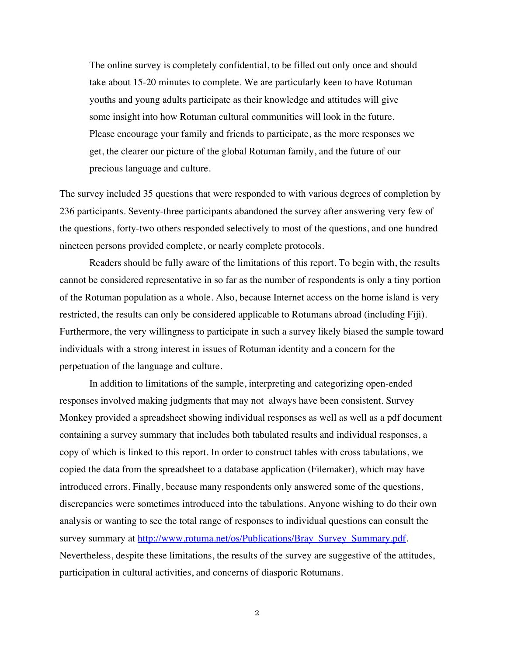The online survey is completely confidential, to be filled out only once and should take about 15-20 minutes to complete. We are particularly keen to have Rotuman youths and young adults participate as their knowledge and attitudes will give some insight into how Rotuman cultural communities will look in the future. Please encourage your family and friends to participate, as the more responses we get, the clearer our picture of the global Rotuman family, and the future of our precious language and culture.

The survey included 35 questions that were responded to with various degrees of completion by 236 participants. Seventy-three participants abandoned the survey after answering very few of the questions, forty-two others responded selectively to most of the questions, and one hundred nineteen persons provided complete, or nearly complete protocols.

Readers should be fully aware of the limitations of this report. To begin with, the results cannot be considered representative in so far as the number of respondents is only a tiny portion of the Rotuman population as a whole. Also, because Internet access on the home island is very restricted, the results can only be considered applicable to Rotumans abroad (including Fiji). Furthermore, the very willingness to participate in such a survey likely biased the sample toward individuals with a strong interest in issues of Rotuman identity and a concern for the perpetuation of the language and culture.

In addition to limitations of the sample, interpreting and categorizing open-ended responses involved making judgments that may not always have been consistent. Survey Monkey provided a spreadsheet showing individual responses as well as well as a pdf document containing a survey summary that includes both tabulated results and individual responses, a copy of which is linked to this report. In order to construct tables with cross tabulations, we copied the data from the spreadsheet to a database application (Filemaker), which may have introduced errors. Finally, because many respondents only answered some of the questions, discrepancies were sometimes introduced into the tabulations. Anyone wishing to do their own analysis or wanting to see the total range of responses to individual questions can consult the survey summary at http://www.rotuma.net/os/Publications/Bray\_Survey\_Summary.pdf. Nevertheless, despite these limitations, the results of the survey are suggestive of the attitudes, participation in cultural activities, and concerns of diasporic Rotumans.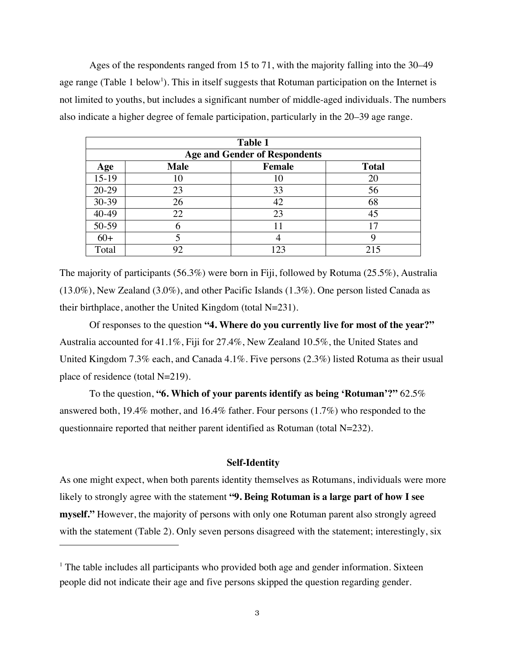Ages of the respondents ranged from 15 to 71, with the majority falling into the 30–49 age range (Table 1 below<sup>1</sup>). This in itself suggests that Rotuman participation on the Internet is not limited to youths, but includes a significant number of middle-aged individuals. The numbers also indicate a higher degree of female participation, particularly in the 20–39 age range.

|         | <b>Table 1</b> |                                      |              |  |  |  |
|---------|----------------|--------------------------------------|--------------|--|--|--|
|         |                | <b>Age and Gender of Respondents</b> |              |  |  |  |
| Age     | <b>Male</b>    | <b>Female</b>                        | <b>Total</b> |  |  |  |
| $15-19$ | 10             |                                      | 20           |  |  |  |
| $20-29$ | 23             | 33                                   | 56           |  |  |  |
| 30-39   | 26             | 42                                   | 68           |  |  |  |
| 40-49   | 22             | 23                                   | 45           |  |  |  |
| 50-59   |                |                                      | 17           |  |  |  |
| $60+$   |                |                                      | y            |  |  |  |
| Total   | 92             | 123                                  | 215          |  |  |  |

The majority of participants (56.3%) were born in Fiji, followed by Rotuma (25.5%), Australia (13.0%), New Zealand (3.0%), and other Pacific Islands (1.3%). One person listed Canada as their birthplace, another the United Kingdom (total N=231).

Of responses to the question **"4. Where do you currently live for most of the year?"** Australia accounted for 41.1%, Fiji for 27.4%, New Zealand 10.5%, the United States and United Kingdom 7.3% each, and Canada 4.1%. Five persons (2.3%) listed Rotuma as their usual place of residence (total N=219).

To the question, **"6. Which of your parents identify as being 'Rotuman'?"** 62.5% answered both, 19.4% mother, and 16.4% father. Four persons (1.7%) who responded to the questionnaire reported that neither parent identified as Rotuman (total N=232).

# **Self-Identity**

As one might expect, when both parents identity themselves as Rotumans, individuals were more likely to strongly agree with the statement **"9. Being Rotuman is a large part of how I see myself."** However, the majority of persons with only one Rotuman parent also strongly agreed with the statement (Table 2). Only seven persons disagreed with the statement; interestingly, six

 $\overline{a}$ 

 $<sup>1</sup>$  The table includes all participants who provided both age and gender information. Sixteen</sup> people did not indicate their age and five persons skipped the question regarding gender.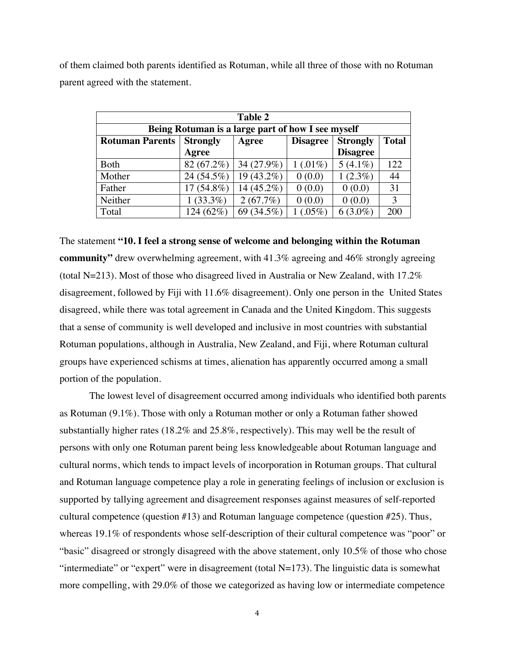of them claimed both parents identified as Rotuman, while all three of those with no Rotuman parent agreed with the statement.

| <b>Table 2</b>         |                                                   |              |                 |                 |              |  |
|------------------------|---------------------------------------------------|--------------|-----------------|-----------------|--------------|--|
|                        | Being Rotuman is a large part of how I see myself |              |                 |                 |              |  |
| <b>Rotuman Parents</b> | <b>Strongly</b>                                   | Agree        | <b>Disagree</b> | <b>Strongly</b> | <b>Total</b> |  |
|                        | Agree                                             |              |                 | <b>Disagree</b> |              |  |
| Both                   | 82 (67.2%)                                        | 34 (27.9%)   | $1(0.01\%)$     | $5(4.1\%)$      | 122          |  |
| Mother                 | 24 (54.5%)                                        | $19(43.2\%)$ | 0(0.0)          | $1(2.3\%)$      | 44           |  |
| Father                 | $17(54.8\%)$                                      | 14 (45.2%)   | 0(0.0)          | 0(0.0)          | 31           |  |
| Neither                | $1(33.3\%)$                                       | 2(67.7%)     | 0(0.0)          | 0(0.0)          | 3            |  |
| Total                  | 124 (62%)                                         | 69 (34.5%)   | $(.05\%)$       | $6(3.0\%)$      | 200          |  |

The statement **"10. I feel a strong sense of welcome and belonging within the Rotuman community"** drew overwhelming agreement, with 41.3% agreeing and 46% strongly agreeing (total N=213). Most of those who disagreed lived in Australia or New Zealand, with  $17.2\%$ disagreement, followed by Fiji with 11.6% disagreement). Only one person in the United States disagreed, while there was total agreement in Canada and the United Kingdom. This suggests that a sense of community is well developed and inclusive in most countries with substantial Rotuman populations, although in Australia, New Zealand, and Fiji, where Rotuman cultural groups have experienced schisms at times, alienation has apparently occurred among a small portion of the population.

The lowest level of disagreement occurred among individuals who identified both parents as Rotuman (9.1%). Those with only a Rotuman mother or only a Rotuman father showed substantially higher rates (18.2% and 25.8%, respectively). This may well be the result of persons with only one Rotuman parent being less knowledgeable about Rotuman language and cultural norms, which tends to impact levels of incorporation in Rotuman groups. That cultural and Rotuman language competence play a role in generating feelings of inclusion or exclusion is supported by tallying agreement and disagreement responses against measures of self-reported cultural competence (question #13) and Rotuman language competence (question #25). Thus, whereas 19.1% of respondents whose self-description of their cultural competence was "poor" or "basic" disagreed or strongly disagreed with the above statement, only 10.5% of those who chose "intermediate" or "expert" were in disagreement (total  $N=173$ ). The linguistic data is somewhat more compelling, with 29.0% of those we categorized as having low or intermediate competence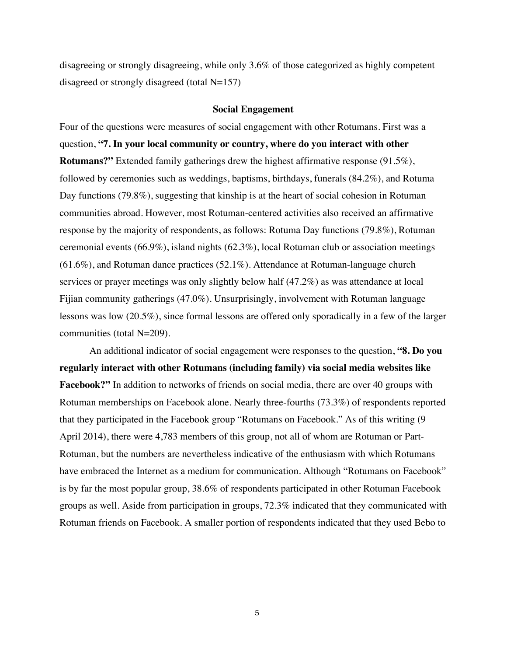disagreeing or strongly disagreeing, while only 3.6% of those categorized as highly competent disagreed or strongly disagreed (total N=157)

## **Social Engagement**

Four of the questions were measures of social engagement with other Rotumans. First was a question, **"7. In your local community or country, where do you interact with other Rotumans?"** Extended family gatherings drew the highest affirmative response (91.5%), followed by ceremonies such as weddings, baptisms, birthdays, funerals (84.2%), and Rotuma Day functions (79.8%), suggesting that kinship is at the heart of social cohesion in Rotuman communities abroad. However, most Rotuman-centered activities also received an affirmative response by the majority of respondents, as follows: Rotuma Day functions (79.8%), Rotuman ceremonial events (66.9%), island nights (62.3%), local Rotuman club or association meetings (61.6%), and Rotuman dance practices (52.1%). Attendance at Rotuman-language church services or prayer meetings was only slightly below half (47.2%) as was attendance at local Fijian community gatherings (47.0%). Unsurprisingly, involvement with Rotuman language lessons was low (20.5%), since formal lessons are offered only sporadically in a few of the larger communities (total N=209).

An additional indicator of social engagement were responses to the question, **"8. Do you regularly interact with other Rotumans (including family) via social media websites like Facebook?"** In addition to networks of friends on social media, there are over 40 groups with Rotuman memberships on Facebook alone. Nearly three-fourths (73.3%) of respondents reported that they participated in the Facebook group "Rotumans on Facebook." As of this writing (9 April 2014), there were 4,783 members of this group, not all of whom are Rotuman or Part-Rotuman, but the numbers are nevertheless indicative of the enthusiasm with which Rotumans have embraced the Internet as a medium for communication. Although "Rotumans on Facebook" is by far the most popular group, 38.6% of respondents participated in other Rotuman Facebook groups as well. Aside from participation in groups, 72.3% indicated that they communicated with Rotuman friends on Facebook. A smaller portion of respondents indicated that they used Bebo to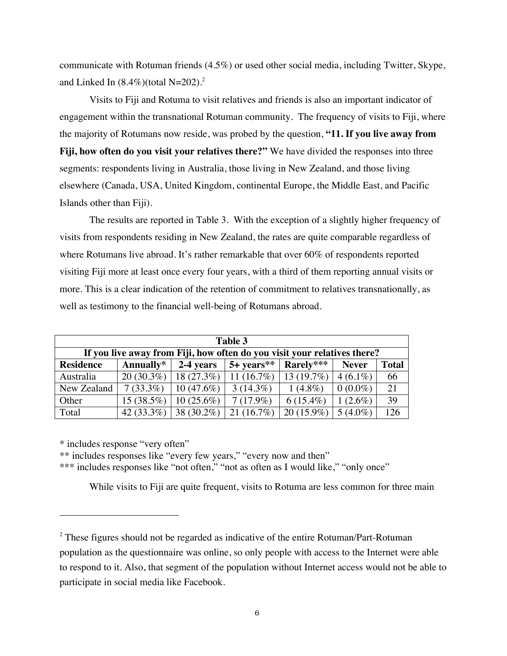communicate with Rotuman friends (4.5%) or used other social media, including Twitter, Skype, and Linked In (8.4%)(total N=202). 2

Visits to Fiji and Rotuma to visit relatives and friends is also an important indicator of engagement within the transnational Rotuman community. The frequency of visits to Fiji, where the majority of Rotumans now reside, was probed by the question, **"11. If you live away from Fiji, how often do you visit your relatives there?"** We have divided the responses into three segments: respondents living in Australia, those living in New Zealand, and those living elsewhere (Canada, USA, United Kingdom, continental Europe, the Middle East, and Pacific Islands other than Fiji).

The results are reported in Table 3. With the exception of a slightly higher frequency of visits from respondents residing in New Zealand, the rates are quite comparable regardless of where Rotumans live abroad. It's rather remarkable that over 60% of respondents reported visiting Fiji more at least once every four years, with a third of them reporting annual visits or more. This is a clear indication of the retention of commitment to relatives transnationally, as well as testimony to the financial well-being of Rotumans abroad.

| Table 3          |               |              |                                                                          |              |              |              |  |
|------------------|---------------|--------------|--------------------------------------------------------------------------|--------------|--------------|--------------|--|
|                  |               |              | If you live away from Fiji, how often do you visit your relatives there? |              |              |              |  |
| <b>Residence</b> | Annually*     | 2-4 years    | $5+ years**$                                                             | Rarely***    | <b>Never</b> | <b>Total</b> |  |
| Australia        | $20(30.3\%)$  | 18(27.3%)    | 11 $(16.7%)$                                                             | 13(19.7%)    | $4(6.1\%)$   | 66           |  |
| New Zealand      | $7(33.3\%)$   | $10(47.6\%)$ | $3(14.3\%)$                                                              | $1(4.8\%)$   | $0(0.0\%)$   | 21           |  |
| Other            | $15(38.5\%)$  | $10(25.6\%)$ | $7(17.9\%)$                                                              | $6(15.4\%)$  | $1(2.6\%)$   | 39           |  |
| Total            | 42 $(33.3\%)$ | 38 (30.2%)   | 21(16.7%)                                                                | $20(15.9\%)$ | $5(4.0\%)$   | 126          |  |

\* includes response "very often"

 $\overline{a}$ 

\*\* includes responses like "every few years," "every now and then"

\*\*\* includes responses like "not often," "not as often as I would like," "only once"

While visits to Fiji are quite frequent, visits to Rotuma are less common for three main

 $2$  These figures should not be regarded as indicative of the entire Rotuman/Part-Rotuman population as the questionnaire was online, so only people with access to the Internet were able to respond to it. Also, that segment of the population without Internet access would not be able to participate in social media like Facebook.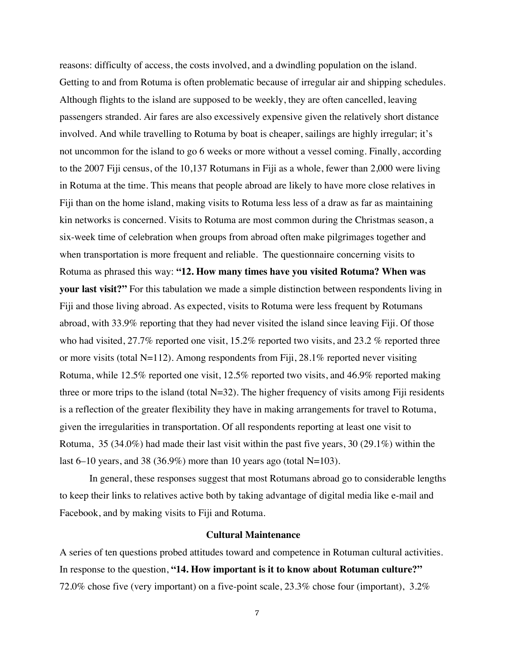reasons: difficulty of access, the costs involved, and a dwindling population on the island. Getting to and from Rotuma is often problematic because of irregular air and shipping schedules. Although flights to the island are supposed to be weekly, they are often cancelled, leaving passengers stranded. Air fares are also excessively expensive given the relatively short distance involved. And while travelling to Rotuma by boat is cheaper, sailings are highly irregular; it's not uncommon for the island to go 6 weeks or more without a vessel coming. Finally, according to the 2007 Fiji census, of the 10,137 Rotumans in Fiji as a whole, fewer than 2,000 were living in Rotuma at the time. This means that people abroad are likely to have more close relatives in Fiji than on the home island, making visits to Rotuma less less of a draw as far as maintaining kin networks is concerned. Visits to Rotuma are most common during the Christmas season, a six-week time of celebration when groups from abroad often make pilgrimages together and when transportation is more frequent and reliable. The questionnaire concerning visits to Rotuma as phrased this way: **"12. How many times have you visited Rotuma? When was your last visit?"** For this tabulation we made a simple distinction between respondents living in Fiji and those living abroad. As expected, visits to Rotuma were less frequent by Rotumans abroad, with 33.9% reporting that they had never visited the island since leaving Fiji. Of those who had visited, 27.7% reported one visit, 15.2% reported two visits, and 23.2 % reported three or more visits (total N=112). Among respondents from Fiji,  $28.1\%$  reported never visiting Rotuma, while 12.5% reported one visit, 12.5% reported two visits, and 46.9% reported making three or more trips to the island (total  $N=32$ ). The higher frequency of visits among Fiji residents is a reflection of the greater flexibility they have in making arrangements for travel to Rotuma, given the irregularities in transportation. Of all respondents reporting at least one visit to Rotuma, 35 (34.0%) had made their last visit within the past five years, 30 (29.1%) within the last 6–10 years, and 38 (36.9%) more than 10 years ago (total N=103).

In general, these responses suggest that most Rotumans abroad go to considerable lengths to keep their links to relatives active both by taking advantage of digital media like e-mail and Facebook, and by making visits to Fiji and Rotuma.

# **Cultural Maintenance**

A series of ten questions probed attitudes toward and competence in Rotuman cultural activities. In response to the question, **"14. How important is it to know about Rotuman culture?"** 72.0% chose five (very important) on a five-point scale, 23.3% chose four (important), 3.2%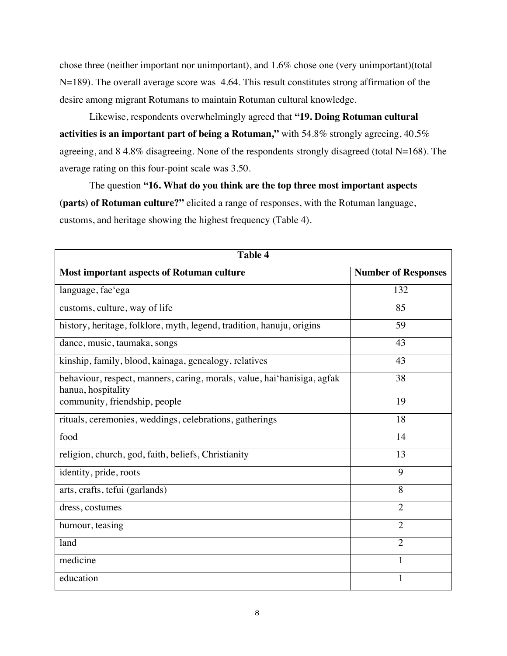chose three (neither important nor unimportant), and 1.6% chose one (very unimportant)(total N=189). The overall average score was 4.64. This result constitutes strong affirmation of the desire among migrant Rotumans to maintain Rotuman cultural knowledge.

Likewise, respondents overwhelmingly agreed that **"19. Doing Rotuman cultural activities is an important part of being a Rotuman,"** with 54.8% strongly agreeing, 40.5% agreeing, and 8 4.8% disagreeing. None of the respondents strongly disagreed (total N=168). The average rating on this four-point scale was 3.50.

The question **"16. What do you think are the top three most important aspects (parts) of Rotuman culture?"** elicited a range of responses, with the Rotuman language, customs, and heritage showing the highest frequency (Table 4).

| <b>Table 4</b>                                                                                |                            |  |  |  |  |
|-----------------------------------------------------------------------------------------------|----------------------------|--|--|--|--|
| <b>Most important aspects of Rotuman culture</b>                                              | <b>Number of Responses</b> |  |  |  |  |
| language, fae'ega                                                                             | 132                        |  |  |  |  |
| customs, culture, way of life                                                                 | 85                         |  |  |  |  |
| history, heritage, folklore, myth, legend, tradition, hanuju, origins                         | 59                         |  |  |  |  |
| dance, music, taumaka, songs                                                                  | 43                         |  |  |  |  |
| kinship, family, blood, kainaga, genealogy, relatives                                         | 43                         |  |  |  |  |
| behaviour, respect, manners, caring, morals, value, hai hanisiga, agfak<br>hanua, hospitality | 38                         |  |  |  |  |
| community, friendship, people                                                                 | 19                         |  |  |  |  |
| rituals, ceremonies, weddings, celebrations, gatherings                                       | 18                         |  |  |  |  |
| food                                                                                          | 14                         |  |  |  |  |
| religion, church, god, faith, beliefs, Christianity                                           | 13                         |  |  |  |  |
| identity, pride, roots                                                                        | 9                          |  |  |  |  |
| arts, crafts, tefui (garlands)                                                                | 8                          |  |  |  |  |
| dress, costumes                                                                               | $\overline{2}$             |  |  |  |  |
| humour, teasing                                                                               | $\overline{2}$             |  |  |  |  |
| land                                                                                          | $\overline{2}$             |  |  |  |  |
| medicine                                                                                      |                            |  |  |  |  |
| education                                                                                     | 1                          |  |  |  |  |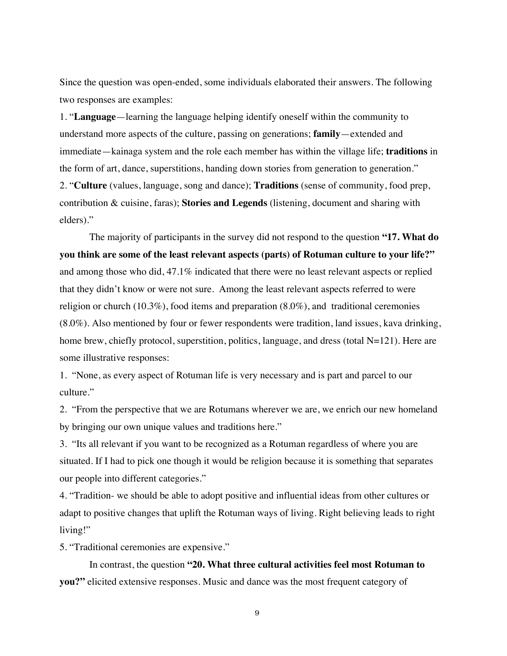Since the question was open-ended, some individuals elaborated their answers. The following two responses are examples:

1. "**Language**—learning the language helping identify oneself within the community to understand more aspects of the culture, passing on generations; **family**—extended and immediate—kainaga system and the role each member has within the village life; **traditions** in the form of art, dance, superstitions, handing down stories from generation to generation." 2. "**Culture** (values, language, song and dance); **Traditions** (sense of community, food prep, contribution & cuisine, faras); **Stories and Legends** (listening, document and sharing with elders)."

The majority of participants in the survey did not respond to the question **"17. What do you think are some of the least relevant aspects (parts) of Rotuman culture to your life?"** and among those who did, 47.1% indicated that there were no least relevant aspects or replied that they didn't know or were not sure. Among the least relevant aspects referred to were religion or church (10.3%), food items and preparation (8.0%), and traditional ceremonies (8.0%). Also mentioned by four or fewer respondents were tradition, land issues, kava drinking, home brew, chiefly protocol, superstition, politics, language, and dress (total N=121). Here are some illustrative responses:

1. "None, as every aspect of Rotuman life is very necessary and is part and parcel to our culture."

2. "From the perspective that we are Rotumans wherever we are, we enrich our new homeland by bringing our own unique values and traditions here."

3. "Its all relevant if you want to be recognized as a Rotuman regardless of where you are situated. If I had to pick one though it would be religion because it is something that separates our people into different categories."

4. "Tradition- we should be able to adopt positive and influential ideas from other cultures or adapt to positive changes that uplift the Rotuman ways of living. Right believing leads to right living!"

5. "Traditional ceremonies are expensive."

In contrast, the question **"20. What three cultural activities feel most Rotuman to you?"** elicited extensive responses. Music and dance was the most frequent category of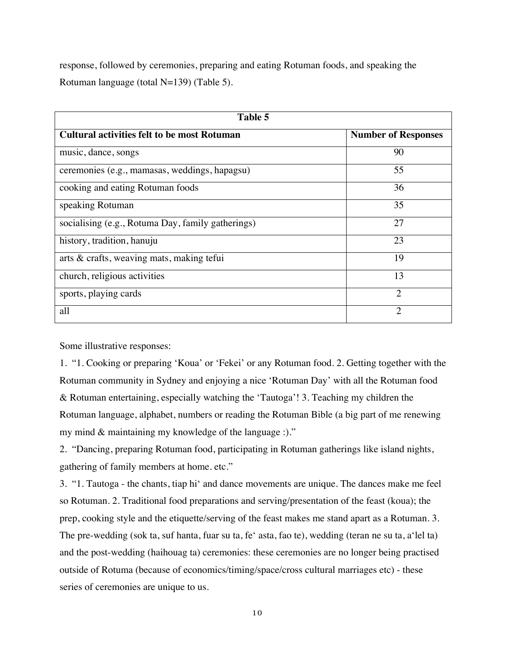response, followed by ceremonies, preparing and eating Rotuman foods, and speaking the Rotuman language (total N=139) (Table 5).

| Table 5                                            |                             |  |  |  |
|----------------------------------------------------|-----------------------------|--|--|--|
| <b>Cultural activities felt to be most Rotuman</b> | <b>Number of Responses</b>  |  |  |  |
| music, dance, songs                                | 90                          |  |  |  |
| ceremonies (e.g., mamasas, weddings, hapagsu)      | 55                          |  |  |  |
| cooking and eating Rotuman foods                   | 36                          |  |  |  |
| speaking Rotuman                                   | 35                          |  |  |  |
| socialising (e.g., Rotuma Day, family gatherings)  | 27                          |  |  |  |
| history, tradition, hanuju                         | 23                          |  |  |  |
| arts & crafts, weaving mats, making tefui          | 19                          |  |  |  |
| church, religious activities                       | 13                          |  |  |  |
| sports, playing cards                              | $\mathcal{D}_{\mathcal{L}}$ |  |  |  |
| all                                                | $\mathcal{D}_{\mathcal{A}}$ |  |  |  |

Some illustrative responses:

1. "1. Cooking or preparing 'Koua' or 'Fekei' or any Rotuman food. 2. Getting together with the Rotuman community in Sydney and enjoying a nice 'Rotuman Day' with all the Rotuman food & Rotuman entertaining, especially watching the 'Tautoga'! 3. Teaching my children the Rotuman language, alphabet, numbers or reading the Rotuman Bible (a big part of me renewing my mind & maintaining my knowledge of the language :)."

2. "Dancing, preparing Rotuman food, participating in Rotuman gatherings like island nights, gathering of family members at home. etc."

3. "1. Tautoga - the chants, tiap hi' and dance movements are unique. The dances make me feel so Rotuman. 2. Traditional food preparations and serving/presentation of the feast (koua); the prep, cooking style and the etiquette/serving of the feast makes me stand apart as a Rotuman. 3. The pre-wedding (sok ta, suf hanta, fuar su ta, fe' asta, fao te), wedding (teran ne su ta, a'lel ta) and the post-wedding (haihouag ta) ceremonies: these ceremonies are no longer being practised outside of Rotuma (because of economics/timing/space/cross cultural marriages etc) - these series of ceremonies are unique to us.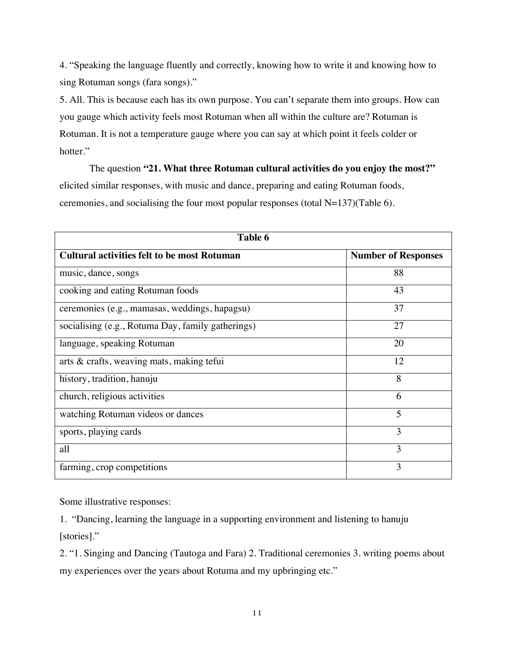4. "Speaking the language fluently and correctly, knowing how to write it and knowing how to sing Rotuman songs (fara songs)."

5. All. This is because each has its own purpose. You can't separate them into groups. How can you gauge which activity feels most Rotuman when all within the culture are? Rotuman is Rotuman. It is not a temperature gauge where you can say at which point it feels colder or hotter."

The question **"21. What three Rotuman cultural activities do you enjoy the most?"** elicited similar responses, with music and dance, preparing and eating Rotuman foods, ceremonies, and socialising the four most popular responses (total N=137)(Table 6).

| Table 6                                            |                            |  |  |  |
|----------------------------------------------------|----------------------------|--|--|--|
| <b>Cultural activities felt to be most Rotuman</b> | <b>Number of Responses</b> |  |  |  |
| music, dance, songs                                | 88                         |  |  |  |
| cooking and eating Rotuman foods                   | 43                         |  |  |  |
| ceremonies (e.g., mamasas, weddings, hapagsu)      | 37                         |  |  |  |
| socialising (e.g., Rotuma Day, family gatherings)  | 27                         |  |  |  |
| language, speaking Rotuman                         | 20                         |  |  |  |
| arts & crafts, weaving mats, making tefui          | 12                         |  |  |  |
| history, tradition, hanuju                         | 8                          |  |  |  |
| church, religious activities                       | 6                          |  |  |  |
| watching Rotuman videos or dances                  | 5                          |  |  |  |
| sports, playing cards                              | 3                          |  |  |  |
| all                                                | 3                          |  |  |  |
| farming, crop competitions                         | 3                          |  |  |  |

Some illustrative responses:

1. "Dancing, learning the language in a supporting environment and listening to hanuju [stories]."

2. "1. Singing and Dancing (Tautoga and Fara) 2. Traditional ceremonies 3. writing poems about my experiences over the years about Rotuma and my upbringing etc."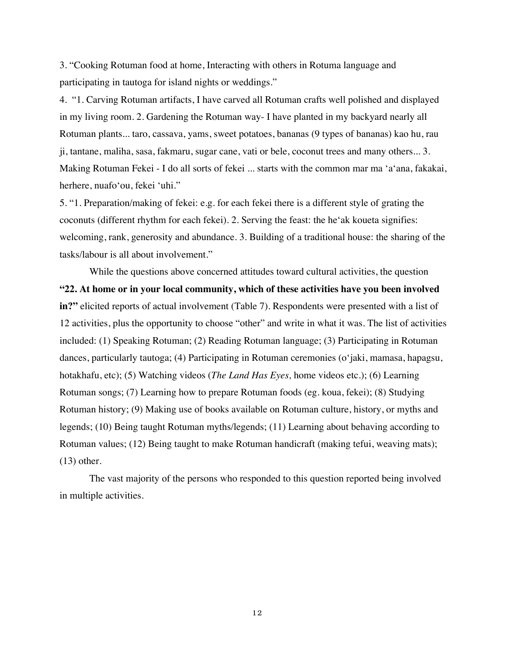3. "Cooking Rotuman food at home, Interacting with others in Rotuma language and participating in tautoga for island nights or weddings."

4. "1. Carving Rotuman artifacts, I have carved all Rotuman crafts well polished and displayed in my living room. 2. Gardening the Rotuman way- I have planted in my backyard nearly all Rotuman plants... taro, cassava, yams, sweet potatoes, bananas (9 types of bananas) kao hu, rau ji, tantane, maliha, sasa, fakmaru, sugar cane, vati or bele, coconut trees and many others... 3. Making Rotuman Fekei - I do all sorts of fekei ... starts with the common mar ma 'a'ana, fakakai, herhere, nuafo'ou, fekei 'uhi."

5. "1. Preparation/making of fekei: e.g. for each fekei there is a different style of grating the coconuts (different rhythm for each fekei). 2. Serving the feast: the he'ak koueta signifies: welcoming, rank, generosity and abundance. 3. Building of a traditional house: the sharing of the tasks/labour is all about involvement."

While the questions above concerned attitudes toward cultural activities, the question **"22. At home or in your local community, which of these activities have you been involved in?"** elicited reports of actual involvement (Table 7). Respondents were presented with a list of 12 activities, plus the opportunity to choose "other" and write in what it was. The list of activities included: (1) Speaking Rotuman; (2) Reading Rotuman language; (3) Participating in Rotuman dances, particularly tautoga; (4) Participating in Rotuman ceremonies (o'jaki, mamasa, hapagsu, hotakhafu, etc); (5) Watching videos (*The Land Has Eyes,* home videos etc.); (6) Learning Rotuman songs; (7) Learning how to prepare Rotuman foods (eg. koua, fekei); (8) Studying Rotuman history; (9) Making use of books available on Rotuman culture, history, or myths and legends; (10) Being taught Rotuman myths/legends; (11) Learning about behaving according to Rotuman values; (12) Being taught to make Rotuman handicraft (making tefui, weaving mats);  $(13)$  other.

The vast majority of the persons who responded to this question reported being involved in multiple activities.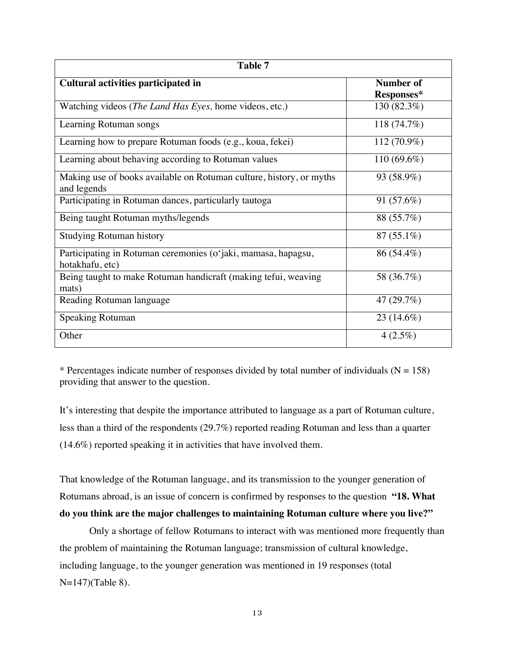| Table 7                                                                            |                           |  |  |  |  |
|------------------------------------------------------------------------------------|---------------------------|--|--|--|--|
| Cultural activities participated in                                                | <b>Number of</b>          |  |  |  |  |
| Watching videos (The Land Has Eyes, home videos, etc.)                             | Responses*<br>130 (82.3%) |  |  |  |  |
| Learning Rotuman songs                                                             | 118 (74.7%)               |  |  |  |  |
| Learning how to prepare Rotuman foods (e.g., koua, fekei)                          | 112 (70.9%)               |  |  |  |  |
| Learning about behaving according to Rotuman values                                | 110 $(69.6\%)$            |  |  |  |  |
| Making use of books available on Rotuman culture, history, or myths<br>and legends | 93 (58.9%)                |  |  |  |  |
| Participating in Rotuman dances, particularly tautoga                              | 91 (57.6%)                |  |  |  |  |
| Being taught Rotuman myths/legends                                                 | 88 (55.7%)                |  |  |  |  |
| <b>Studying Rotuman history</b>                                                    | $87(55.1\%)$              |  |  |  |  |
| Participating in Rotuman ceremonies (o'jaki, mamasa, hapagsu,<br>hotakhafu, etc)   | 86 (54.4%)                |  |  |  |  |
| Being taught to make Rotuman handicraft (making tefui, weaving<br>mats)            | 58 (36.7%)                |  |  |  |  |
| Reading Rotuman language                                                           | 47 (29.7%)                |  |  |  |  |
| <b>Speaking Rotuman</b>                                                            | $23(14.6\%)$              |  |  |  |  |
| Other                                                                              | $4(2.5\%)$                |  |  |  |  |

\* Percentages indicate number of responses divided by total number of individuals  $(N = 158)$ providing that answer to the question.

It's interesting that despite the importance attributed to language as a part of Rotuman culture, less than a third of the respondents (29.7%) reported reading Rotuman and less than a quarter (14.6%) reported speaking it in activities that have involved them.

That knowledge of the Rotuman language, and its transmission to the younger generation of Rotumans abroad, is an issue of concern is confirmed by responses to the question **"18. What do you think are the major challenges to maintaining Rotuman culture where you live?"**

Only a shortage of fellow Rotumans to interact with was mentioned more frequently than the problem of maintaining the Rotuman language; transmission of cultural knowledge, including language, to the younger generation was mentioned in 19 responses (total N=147)(Table 8).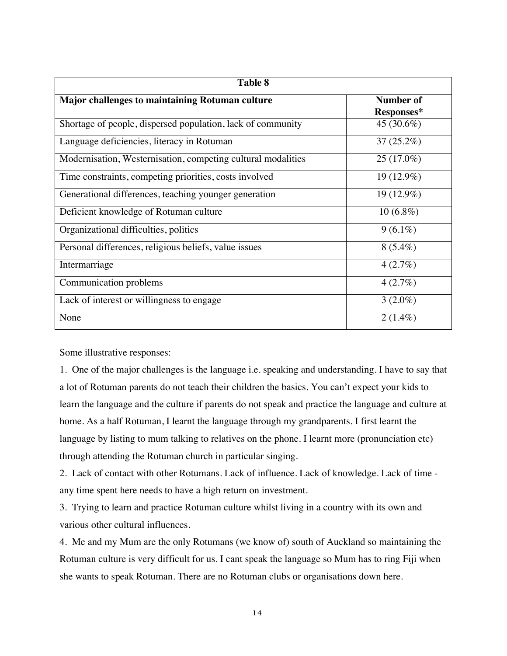| <b>Table 8</b>                                               |                                |  |  |  |  |  |
|--------------------------------------------------------------|--------------------------------|--|--|--|--|--|
| <b>Major challenges to maintaining Rotuman culture</b>       | <b>Number of</b><br>Responses* |  |  |  |  |  |
| Shortage of people, dispersed population, lack of community  | 45 (30.6%)                     |  |  |  |  |  |
| Language deficiencies, literacy in Rotuman                   | $37(25.2\%)$                   |  |  |  |  |  |
| Modernisation, Westernisation, competing cultural modalities | 25 (17.0%)                     |  |  |  |  |  |
| Time constraints, competing priorities, costs involved       | 19 (12.9%)                     |  |  |  |  |  |
| Generational differences, teaching younger generation        | 19 (12.9%)                     |  |  |  |  |  |
| Deficient knowledge of Rotuman culture                       | $10(6.8\%)$                    |  |  |  |  |  |
| Organizational difficulties, politics                        | $9(6.1\%)$                     |  |  |  |  |  |
| Personal differences, religious beliefs, value issues        | $8(5.4\%)$                     |  |  |  |  |  |
| Intermarriage                                                | 4(2.7%)                        |  |  |  |  |  |
| Communication problems                                       | 4(2.7%)                        |  |  |  |  |  |
| Lack of interest or willingness to engage                    | $3(2.0\%)$                     |  |  |  |  |  |
| None                                                         | $2(1.4\%)$                     |  |  |  |  |  |

Some illustrative responses:

1. One of the major challenges is the language i.e. speaking and understanding. I have to say that a lot of Rotuman parents do not teach their children the basics. You can't expect your kids to learn the language and the culture if parents do not speak and practice the language and culture at home. As a half Rotuman, I learnt the language through my grandparents. I first learnt the language by listing to mum talking to relatives on the phone. I learnt more (pronunciation etc) through attending the Rotuman church in particular singing.

2. Lack of contact with other Rotumans. Lack of influence. Lack of knowledge. Lack of time any time spent here needs to have a high return on investment.

3. Trying to learn and practice Rotuman culture whilst living in a country with its own and various other cultural influences.

4. Me and my Mum are the only Rotumans (we know of) south of Auckland so maintaining the Rotuman culture is very difficult for us. I cant speak the language so Mum has to ring Fiji when she wants to speak Rotuman. There are no Rotuman clubs or organisations down here.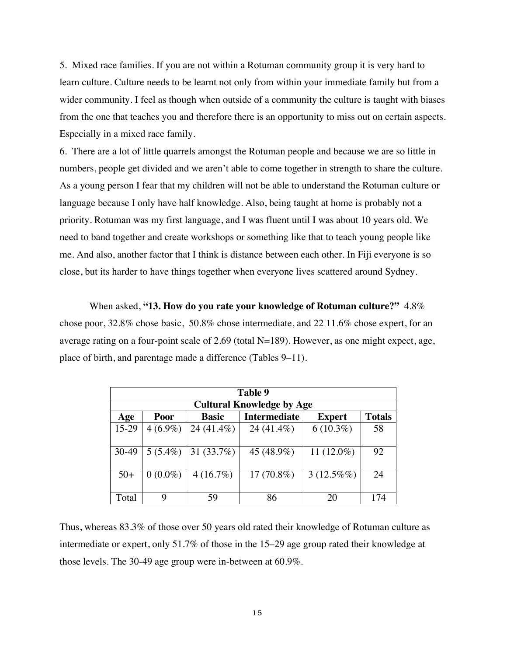5. Mixed race families. If you are not within a Rotuman community group it is very hard to learn culture. Culture needs to be learnt not only from within your immediate family but from a wider community. I feel as though when outside of a community the culture is taught with biases from the one that teaches you and therefore there is an opportunity to miss out on certain aspects. Especially in a mixed race family.

6. There are a lot of little quarrels amongst the Rotuman people and because we are so little in numbers, people get divided and we aren't able to come together in strength to share the culture. As a young person I fear that my children will not be able to understand the Rotuman culture or language because I only have half knowledge. Also, being taught at home is probably not a priority. Rotuman was my first language, and I was fluent until I was about 10 years old. We need to band together and create workshops or something like that to teach young people like me. And also, another factor that I think is distance between each other. In Fiji everyone is so close, but its harder to have things together when everyone lives scattered around Sydney.

When asked, **"13. How do you rate your knowledge of Rotuman culture?"** 4.8% chose poor, 32.8% chose basic, 50.8% chose intermediate, and 22 11.6% chose expert, for an average rating on a four-point scale of  $2.69$  (total N=189). However, as one might expect, age, place of birth, and parentage made a difference (Tables 9–11).

|       | Table 9    |              |                                  |               |               |  |  |
|-------|------------|--------------|----------------------------------|---------------|---------------|--|--|
|       |            |              | <b>Cultural Knowledge by Age</b> |               |               |  |  |
| Age   | Poor       | <b>Basic</b> | <b>Intermediate</b>              | <b>Expert</b> | <b>Totals</b> |  |  |
| 15-29 | $4(6.9\%)$ | 24 (41.4%)   | 24 (41.4%)                       | $6(10.3\%)$   | 58            |  |  |
| 30-49 | $5(5.4\%)$ | 31 $(33.7%)$ | 45 (48.9%)                       | 11 $(12.0\%)$ | 92            |  |  |
| $50+$ | $0(0.0\%)$ | 4(16.7%)     | $17(70.8\%)$                     | $3(12.5\%%)$  | 24            |  |  |
| Total | 9          | 59           | 86                               | 20            | 174           |  |  |

Thus, whereas 83.3% of those over 50 years old rated their knowledge of Rotuman culture as intermediate or expert, only 51.7% of those in the 15–29 age group rated their knowledge at those levels. The 30-49 age group were in-between at 60.9%.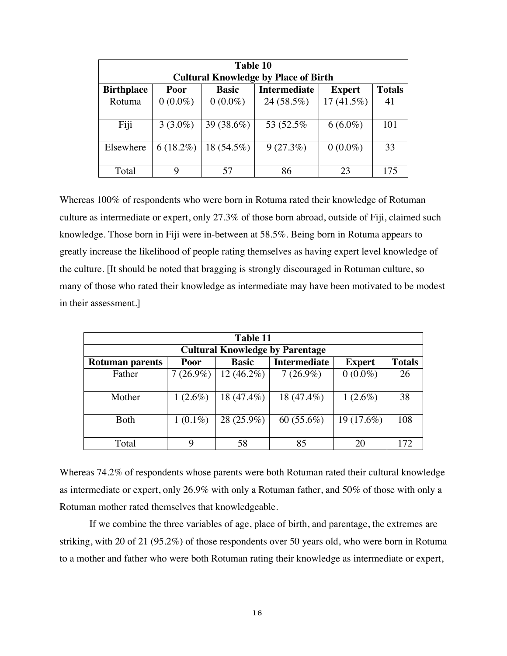| Table 10          |             |              |                                             |               |               |  |
|-------------------|-------------|--------------|---------------------------------------------|---------------|---------------|--|
|                   |             |              | <b>Cultural Knowledge by Place of Birth</b> |               |               |  |
| <b>Birthplace</b> | Poor        | <b>Basic</b> | <b>Intermediate</b>                         | <b>Expert</b> | <b>Totals</b> |  |
| Rotuma            | $0(0.0\%)$  | $0(0.0\%)$   | 24 (58.5%)                                  | $17(41.5\%)$  | 41            |  |
| Fiji              | $3(3.0\%)$  | 39 (38.6%)   | 53 (52.5%)                                  | $6(6.0\%)$    | 101           |  |
| Elsewhere         | $6(18.2\%)$ | 18 (54.5%)   | $9(27.3\%)$                                 | $0(0.0\%)$    | 33            |  |
| Total             | Q           | 57           | 86                                          | 23            | 175           |  |

Whereas 100% of respondents who were born in Rotuma rated their knowledge of Rotuman culture as intermediate or expert, only 27.3% of those born abroad, outside of Fiji, claimed such knowledge. Those born in Fiji were in-between at 58.5%. Being born in Rotuma appears to greatly increase the likelihood of people rating themselves as having expert level knowledge of the culture. [It should be noted that bragging is strongly discouraged in Rotuman culture, so many of those who rated their knowledge as intermediate may have been motivated to be modest in their assessment.]

| Table 11               |             |              |                                        |               |               |  |
|------------------------|-------------|--------------|----------------------------------------|---------------|---------------|--|
|                        |             |              | <b>Cultural Knowledge by Parentage</b> |               |               |  |
| <b>Rotuman parents</b> | Poor        | <b>Basic</b> | <b>Intermediate</b>                    | <b>Expert</b> | <b>Totals</b> |  |
| Father                 | $7(26.9\%)$ | $12(46.2\%)$ | $7(26.9\%)$                            | $0(0.0\%)$    | 26            |  |
|                        |             |              |                                        |               |               |  |
| Mother                 | $1(2.6\%)$  | 18 (47.4%)   | 18 (47.4%)                             | $1(2.6\%)$    | 38            |  |
|                        |             |              |                                        |               |               |  |
| Both                   | $1(0.1\%)$  | 28 (25.9%)   | 60 $(55.6\%)$                          | 19 (17.6%)    | 108           |  |
|                        |             |              |                                        |               |               |  |
| Total                  | 9           | 58           | 85                                     |               | 172           |  |

Whereas 74.2% of respondents whose parents were both Rotuman rated their cultural knowledge as intermediate or expert, only 26.9% with only a Rotuman father, and 50% of those with only a Rotuman mother rated themselves that knowledgeable.

If we combine the three variables of age, place of birth, and parentage, the extremes are striking, with 20 of 21 (95.2%) of those respondents over 50 years old, who were born in Rotuma to a mother and father who were both Rotuman rating their knowledge as intermediate or expert,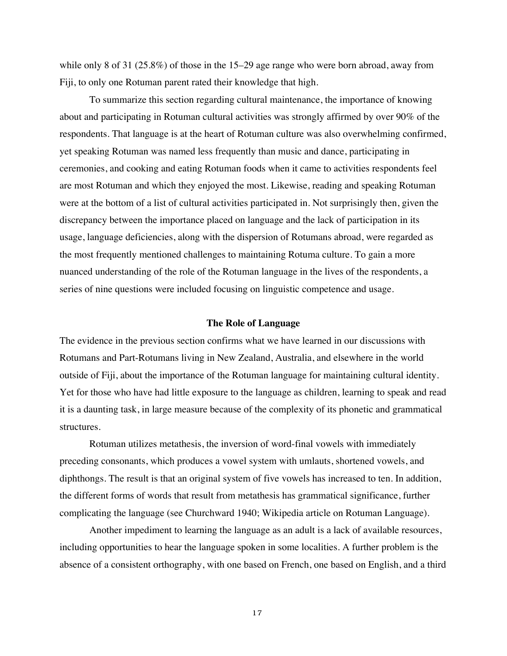while only 8 of 31 (25.8%) of those in the 15–29 age range who were born abroad, away from Fiji, to only one Rotuman parent rated their knowledge that high.

To summarize this section regarding cultural maintenance, the importance of knowing about and participating in Rotuman cultural activities was strongly affirmed by over 90% of the respondents. That language is at the heart of Rotuman culture was also overwhelming confirmed, yet speaking Rotuman was named less frequently than music and dance, participating in ceremonies, and cooking and eating Rotuman foods when it came to activities respondents feel are most Rotuman and which they enjoyed the most. Likewise, reading and speaking Rotuman were at the bottom of a list of cultural activities participated in. Not surprisingly then, given the discrepancy between the importance placed on language and the lack of participation in its usage, language deficiencies, along with the dispersion of Rotumans abroad, were regarded as the most frequently mentioned challenges to maintaining Rotuma culture. To gain a more nuanced understanding of the role of the Rotuman language in the lives of the respondents, a series of nine questions were included focusing on linguistic competence and usage.

# **The Role of Language**

The evidence in the previous section confirms what we have learned in our discussions with Rotumans and Part-Rotumans living in New Zealand, Australia, and elsewhere in the world outside of Fiji, about the importance of the Rotuman language for maintaining cultural identity. Yet for those who have had little exposure to the language as children, learning to speak and read it is a daunting task, in large measure because of the complexity of its phonetic and grammatical structures.

Rotuman utilizes metathesis, the inversion of word-final vowels with immediately preceding consonants, which produces a vowel system with umlauts, shortened vowels, and diphthongs. The result is that an original system of five vowels has increased to ten. In addition, the different forms of words that result from metathesis has grammatical significance, further complicating the language (see Churchward 1940; Wikipedia article on Rotuman Language).

Another impediment to learning the language as an adult is a lack of available resources, including opportunities to hear the language spoken in some localities. A further problem is the absence of a consistent orthography, with one based on French, one based on English, and a third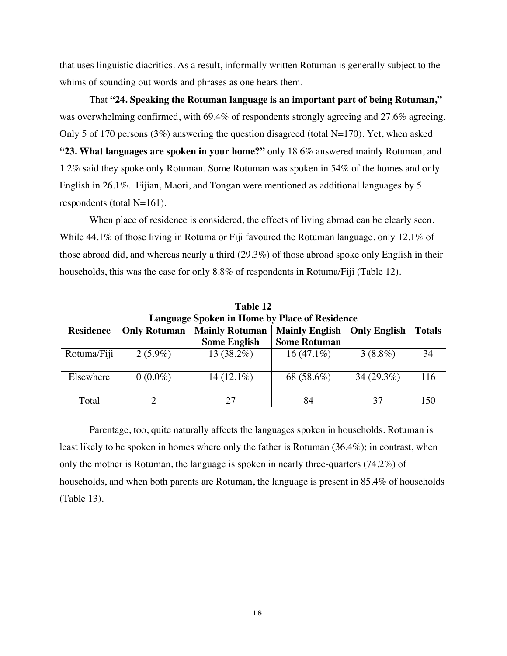that uses linguistic diacritics. As a result, informally written Rotuman is generally subject to the whims of sounding out words and phrases as one hears them.

That **"24. Speaking the Rotuman language is an important part of being Rotuman,"** was overwhelming confirmed, with 69.4% of respondents strongly agreeing and 27.6% agreeing. Only 5 of 170 persons (3%) answering the question disagreed (total N=170). Yet, when asked **"23. What languages are spoken in your home?"** only 18.6% answered mainly Rotuman, and 1.2% said they spoke only Rotuman. Some Rotuman was spoken in 54% of the homes and only English in 26.1%. Fijian, Maori, and Tongan were mentioned as additional languages by 5 respondents (total N=161).

When place of residence is considered, the effects of living abroad can be clearly seen. While 44.1% of those living in Rotuma or Fiji favoured the Rotuman language, only 12.1% of those abroad did, and whereas nearly a third (29.3%) of those abroad spoke only English in their households, this was the case for only 8.8% of respondents in Rotuma/Fiji (Table 12).

| Table 12         |                     |                                                      |                       |                     |               |  |  |
|------------------|---------------------|------------------------------------------------------|-----------------------|---------------------|---------------|--|--|
|                  |                     | <b>Language Spoken in Home by Place of Residence</b> |                       |                     |               |  |  |
| <b>Residence</b> | <b>Only Rotuman</b> | <b>Mainly Rotuman</b>                                | <b>Mainly English</b> | <b>Only English</b> | <b>Totals</b> |  |  |
|                  |                     | <b>Some English</b>                                  | <b>Some Rotuman</b>   |                     |               |  |  |
| Rotuma/Fiji      | $2(5.9\%)$          | 13 (38.2%)                                           | $16(47.1\%)$          | $3(8.8\%)$          | 34            |  |  |
|                  |                     |                                                      |                       |                     |               |  |  |
| Elsewhere        | $0(0.0\%)$          | $14(12.1\%)$                                         | 68 (58.6%)            | 34 (29.3%)          | 116           |  |  |
|                  |                     |                                                      |                       |                     |               |  |  |
| Total            |                     |                                                      | 84                    | 37                  |               |  |  |

Parentage, too, quite naturally affects the languages spoken in households. Rotuman is least likely to be spoken in homes where only the father is Rotuman (36.4%); in contrast, when only the mother is Rotuman, the language is spoken in nearly three-quarters (74.2%) of households, and when both parents are Rotuman, the language is present in 85.4% of households (Table 13).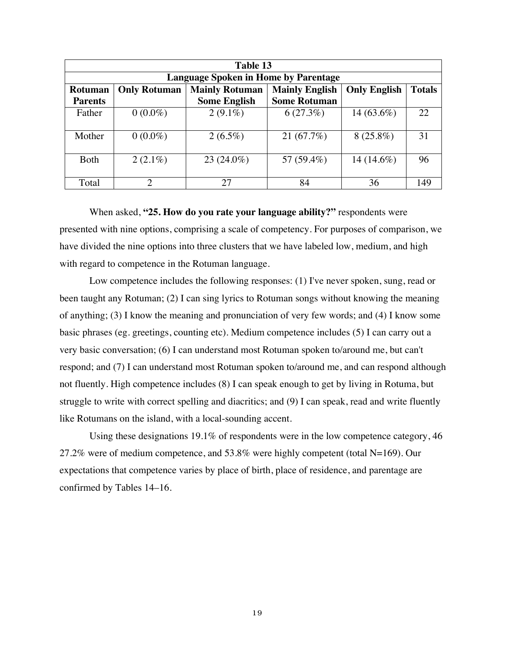| Table 13                                    |                                                                       |                     |                     |                     |               |
|---------------------------------------------|-----------------------------------------------------------------------|---------------------|---------------------|---------------------|---------------|
| <b>Language Spoken in Home by Parentage</b> |                                                                       |                     |                     |                     |               |
| Rotuman                                     | <b>Mainly English</b><br><b>Mainly Rotuman</b><br><b>Only Rotuman</b> |                     |                     | <b>Only English</b> | <b>Totals</b> |
| <b>Parents</b>                              |                                                                       | <b>Some English</b> | <b>Some Rotuman</b> |                     |               |
| Father                                      | $0(0.0\%)$                                                            | $2(9.1\%)$          | 6(27.3%)            | 14 (63.6%)          | 22            |
|                                             |                                                                       |                     |                     |                     |               |
| Mother                                      | $0(0.0\%)$                                                            | $2(6.5\%)$          | 21(67.7%)           | $8(25.8\%)$         | 31            |
|                                             |                                                                       |                     |                     |                     |               |
| <b>Both</b>                                 | $2(2.1\%)$                                                            | $23(24.0\%)$        | 57 (59.4%)          | 14 $(14.6\%)$       | 96            |
|                                             |                                                                       |                     |                     |                     |               |
| Total                                       |                                                                       | 27                  | 84                  | 36                  | 149           |

When asked, **"25. How do you rate your language ability?"** respondents were presented with nine options, comprising a scale of competency. For purposes of comparison, we have divided the nine options into three clusters that we have labeled low, medium, and high with regard to competence in the Rotuman language.

Low competence includes the following responses: (1) I've never spoken, sung, read or been taught any Rotuman; (2) I can sing lyrics to Rotuman songs without knowing the meaning of anything; (3) I know the meaning and pronunciation of very few words; and (4) I know some basic phrases (eg. greetings, counting etc). Medium competence includes (5) I can carry out a very basic conversation; (6) I can understand most Rotuman spoken to/around me, but can't respond; and (7) I can understand most Rotuman spoken to/around me, and can respond although not fluently. High competence includes (8) I can speak enough to get by living in Rotuma, but struggle to write with correct spelling and diacritics; and (9) I can speak, read and write fluently like Rotumans on the island, with a local-sounding accent.

Using these designations 19.1% of respondents were in the low competence category, 46 27.2% were of medium competence, and 53.8% were highly competent (total N=169). Our expectations that competence varies by place of birth, place of residence, and parentage are confirmed by Tables 14–16.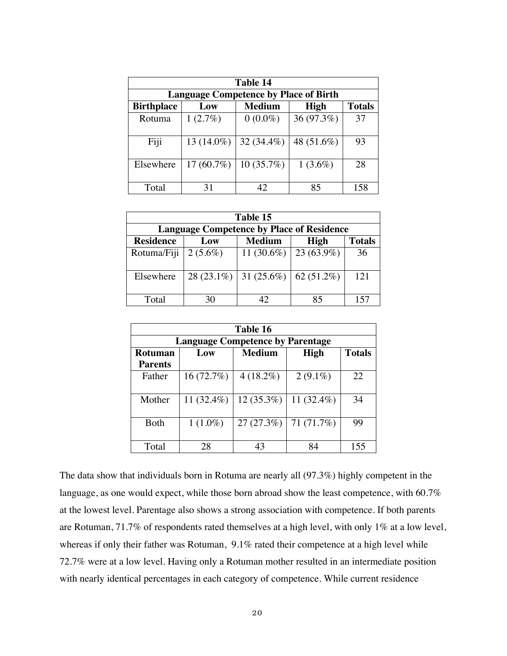| Table 14                                     |               |               |             |               |
|----------------------------------------------|---------------|---------------|-------------|---------------|
| <b>Language Competence by Place of Birth</b> |               |               |             |               |
| <b>Birthplace</b>                            | Low           | <b>Medium</b> | <b>High</b> | <b>Totals</b> |
| Rotuma                                       | 1(2.7%)       | $0(0.0\%)$    | 36 (97.3%)  | 37            |
| Fiji                                         | 13 $(14.0\%)$ | $32(34.4\%)$  | 48 (51.6%)  | 93            |
| Elsewhere                                    | $17(60.7\%)$  | $10(35.7\%)$  | $1(3.6\%)$  | 28            |
| Total                                        | 31            | 42            | 85          | 158           |

| Table 15                                         |              |                         |                     |               |
|--------------------------------------------------|--------------|-------------------------|---------------------|---------------|
| <b>Language Competence by Place of Residence</b> |              |                         |                     |               |
| <b>Residence</b>                                 | Low          | <b>Medium</b>           | <b>High</b>         | <b>Totals</b> |
| Rotuma/Fiji                                      | $2(5.6\%)$   | 11 (30.6%)   23 (63.9%) |                     | 36            |
| Elsewhere                                        | $28(23.1\%)$ | 31 $(25.6\%)$           | $\vert 62 (51.2\%)$ | 121           |
| Total                                            | 30           | 42                      | 85                  | 157           |

| Table 16                                |            |               |             |               |  |
|-----------------------------------------|------------|---------------|-------------|---------------|--|
| <b>Language Competence by Parentage</b> |            |               |             |               |  |
| <b>Rotuman</b>                          | Low        | <b>Medium</b> | <b>High</b> | <b>Totals</b> |  |
| <b>Parents</b>                          |            |               |             |               |  |
| Father                                  | 16(72.7%)  | $4(18.2\%)$   | $2(9.1\%)$  | 22            |  |
|                                         |            |               |             |               |  |
| Mother                                  | 11 (32.4%) | $12(35.3\%)$  | 11 (32.4%)  | 34            |  |
|                                         |            |               |             |               |  |
| <b>Both</b>                             | $1(1.0\%)$ | 27(27.3%)     | 71 (71.7%)  | 99            |  |
|                                         |            |               |             |               |  |
| Total                                   | 28         | 43            | 84          | 155           |  |

The data show that individuals born in Rotuma are nearly all (97.3%) highly competent in the language, as one would expect, while those born abroad show the least competence, with 60.7% at the lowest level. Parentage also shows a strong association with competence. If both parents are Rotuman, 71.7% of respondents rated themselves at a high level, with only 1% at a low level, whereas if only their father was Rotuman, 9.1% rated their competence at a high level while 72.7% were at a low level. Having only a Rotuman mother resulted in an intermediate position with nearly identical percentages in each category of competence. While current residence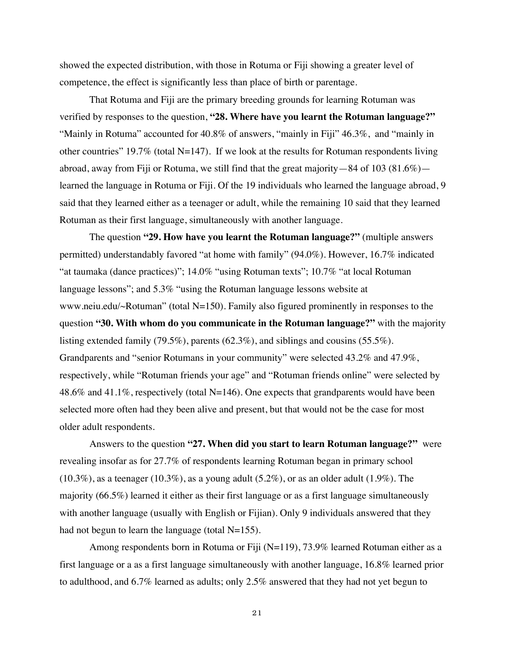showed the expected distribution, with those in Rotuma or Fiji showing a greater level of competence, the effect is significantly less than place of birth or parentage.

That Rotuma and Fiji are the primary breeding grounds for learning Rotuman was verified by responses to the question, **"28. Where have you learnt the Rotuman language?"** "Mainly in Rotuma" accounted for 40.8% of answers, "mainly in Fiji" 46.3%, and "mainly in other countries" 19.7% (total N=147). If we look at the results for Rotuman respondents living abroad, away from Fiji or Rotuma, we still find that the great majority—84 of 103 (81.6%) learned the language in Rotuma or Fiji. Of the 19 individuals who learned the language abroad, 9 said that they learned either as a teenager or adult, while the remaining 10 said that they learned Rotuman as their first language, simultaneously with another language.

The question **"29. How have you learnt the Rotuman language?"** (multiple answers permitted) understandably favored "at home with family" (94.0%). However, 16.7% indicated "at taumaka (dance practices)"; 14.0% "using Rotuman texts"; 10.7% "at local Rotuman language lessons"; and 5.3% "using the Rotuman language lessons website at www.neiu.edu/~Rotuman" (total N=150). Family also figured prominently in responses to the question **"30. With whom do you communicate in the Rotuman language?"** with the majority listing extended family (79.5%), parents (62.3%), and siblings and cousins (55.5%). Grandparents and "senior Rotumans in your community" were selected 43.2% and 47.9%, respectively, while "Rotuman friends your age" and "Rotuman friends online" were selected by 48.6% and 41.1%, respectively (total N=146). One expects that grandparents would have been selected more often had they been alive and present, but that would not be the case for most older adult respondents.

Answers to the question **"27. When did you start to learn Rotuman language?"** were revealing insofar as for 27.7% of respondents learning Rotuman began in primary school  $(10.3\%)$ , as a teenager  $(10.3\%)$ , as a young adult  $(5.2\%)$ , or as an older adult  $(1.9\%)$ . The majority (66.5%) learned it either as their first language or as a first language simultaneously with another language (usually with English or Fijian). Only 9 individuals answered that they had not begun to learn the language (total  $N=155$ ).

Among respondents born in Rotuma or Fiji (N=119), 73.9% learned Rotuman either as a first language or a as a first language simultaneously with another language, 16.8% learned prior to adulthood, and 6.7% learned as adults; only 2.5% answered that they had not yet begun to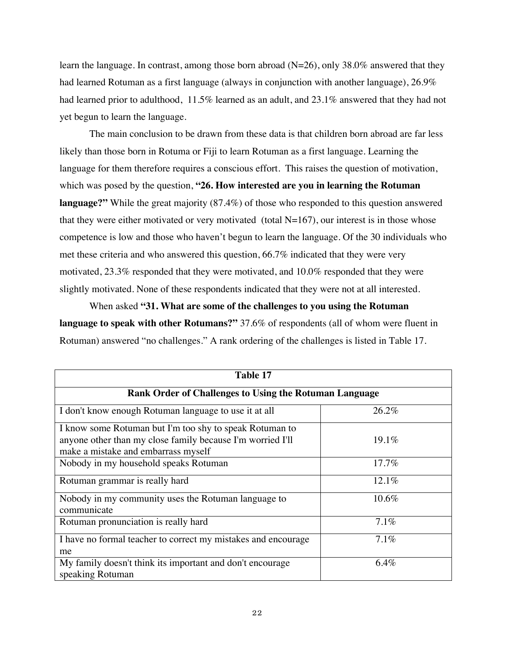learn the language. In contrast, among those born abroad  $(N=26)$ , only 38.0% answered that they had learned Rotuman as a first language (always in conjunction with another language), 26.9% had learned prior to adulthood, 11.5% learned as an adult, and 23.1% answered that they had not yet begun to learn the language.

The main conclusion to be drawn from these data is that children born abroad are far less likely than those born in Rotuma or Fiji to learn Rotuman as a first language. Learning the language for them therefore requires a conscious effort. This raises the question of motivation, which was posed by the question, **"26. How interested are you in learning the Rotuman language?"** While the great majority (87.4%) of those who responded to this question answered that they were either motivated or very motivated (total  $N=167$ ), our interest is in those whose competence is low and those who haven't begun to learn the language. Of the 30 individuals who met these criteria and who answered this question, 66.7% indicated that they were very motivated, 23.3% responded that they were motivated, and 10.0% responded that they were slightly motivated. None of these respondents indicated that they were not at all interested.

When asked **"31. What are some of the challenges to you using the Rotuman language to speak with other Rotumans?"** 37.6% of respondents (all of whom were fluent in Rotuman) answered "no challenges." A rank ordering of the challenges is listed in Table 17.

| Table 17                                                                      |       |  |  |
|-------------------------------------------------------------------------------|-------|--|--|
| <b>Rank Order of Challenges to Using the Rotuman Language</b>                 |       |  |  |
| I don't know enough Rotuman language to use it at all                         | 26.2% |  |  |
| I know some Rotuman but I'm too shy to speak Rotuman to                       |       |  |  |
| anyone other than my close family because I'm worried I'll                    | 19.1% |  |  |
| make a mistake and embarrass myself                                           |       |  |  |
| Nobody in my household speaks Rotuman                                         | 17.7% |  |  |
| Rotuman grammar is really hard                                                | 12.1% |  |  |
| Nobody in my community uses the Rotuman language to<br>communicate            | 10.6% |  |  |
| Rotuman pronunciation is really hard                                          | 7.1%  |  |  |
| I have no formal teacher to correct my mistakes and encourage                 | 7.1%  |  |  |
| me                                                                            |       |  |  |
| My family doesn't think its important and don't encourage<br>speaking Rotuman | 6.4%  |  |  |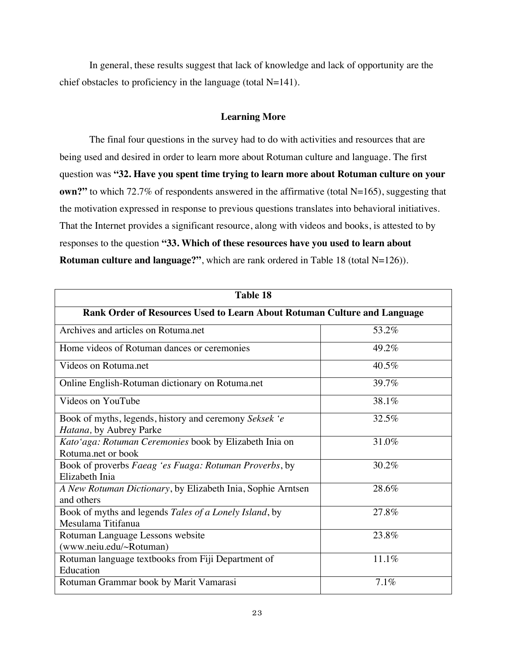In general, these results suggest that lack of knowledge and lack of opportunity are the chief obstacles to proficiency in the language (total N=141).

# **Learning More**

The final four questions in the survey had to do with activities and resources that are being used and desired in order to learn more about Rotuman culture and language. The first question was **"32. Have you spent time trying to learn more about Rotuman culture on your own?"** to which 72.7% of respondents answered in the affirmative (total N=165), suggesting that the motivation expressed in response to previous questions translates into behavioral initiatives. That the Internet provides a significant resource, along with videos and books, is attested to by responses to the question **"33. Which of these resources have you used to learn about Rotuman culture and language?"**, which are rank ordered in Table 18 (total N=126)).

| <b>Table 18</b>                                                                   |       |  |  |  |
|-----------------------------------------------------------------------------------|-------|--|--|--|
| Rank Order of Resources Used to Learn About Rotuman Culture and Language          |       |  |  |  |
| Archives and articles on Rotuma.net                                               | 53.2% |  |  |  |
| Home videos of Rotuman dances or ceremonies                                       | 49.2% |  |  |  |
| Videos on Rotuma.net                                                              | 40.5% |  |  |  |
| Online English-Rotuman dictionary on Rotuma.net                                   | 39.7% |  |  |  |
| Videos on YouTube                                                                 | 38.1% |  |  |  |
| Book of myths, legends, history and ceremony Seksek 'e<br>Hatana, by Aubrey Parke | 32.5% |  |  |  |
| Kato'aga: Rotuman Ceremonies book by Elizabeth Inia on<br>Rotuma, net or book     | 31.0% |  |  |  |
| Book of proverbs Faeag 'es Fuaga: Rotuman Proverbs, by<br>Elizabeth Inia          | 30.2% |  |  |  |
| A New Rotuman Dictionary, by Elizabeth Inia, Sophie Arntsen<br>and others         | 28.6% |  |  |  |
| Book of myths and legends Tales of a Lonely Island, by<br>Mesulama Titifanua      | 27.8% |  |  |  |
| Rotuman Language Lessons website<br>(www.neiu.edu/~Rotuman)                       | 23.8% |  |  |  |
| Rotuman language textbooks from Fiji Department of<br>Education                   | 11.1% |  |  |  |
| Rotuman Grammar book by Marit Vamarasi                                            | 7.1%  |  |  |  |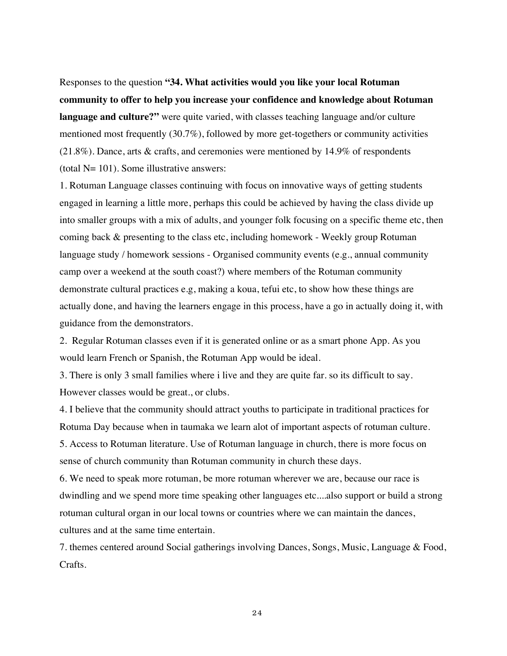Responses to the question **"34. What activities would you like your local Rotuman community to offer to help you increase your confidence and knowledge about Rotuman language and culture?"** were quite varied, with classes teaching language and/or culture mentioned most frequently (30.7%), followed by more get-togethers or community activities (21.8%). Dance, arts & crafts, and ceremonies were mentioned by 14.9% of respondents (total  $N=101$ ). Some illustrative answers:

1. Rotuman Language classes continuing with focus on innovative ways of getting students engaged in learning a little more, perhaps this could be achieved by having the class divide up into smaller groups with a mix of adults, and younger folk focusing on a specific theme etc, then coming back & presenting to the class etc, including homework - Weekly group Rotuman language study / homework sessions - Organised community events (e.g., annual community camp over a weekend at the south coast?) where members of the Rotuman community demonstrate cultural practices e.g, making a koua, tefui etc, to show how these things are actually done, and having the learners engage in this process, have a go in actually doing it, with guidance from the demonstrators.

2. Regular Rotuman classes even if it is generated online or as a smart phone App. As you would learn French or Spanish, the Rotuman App would be ideal.

3. There is only 3 small families where i live and they are quite far. so its difficult to say. However classes would be great., or clubs.

4. I believe that the community should attract youths to participate in traditional practices for Rotuma Day because when in taumaka we learn alot of important aspects of rotuman culture. 5. Access to Rotuman literature. Use of Rotuman language in church, there is more focus on

sense of church community than Rotuman community in church these days.

6. We need to speak more rotuman, be more rotuman wherever we are, because our race is dwindling and we spend more time speaking other languages etc....also support or build a strong rotuman cultural organ in our local towns or countries where we can maintain the dances, cultures and at the same time entertain.

7. themes centered around Social gatherings involving Dances, Songs, Music, Language & Food, Crafts.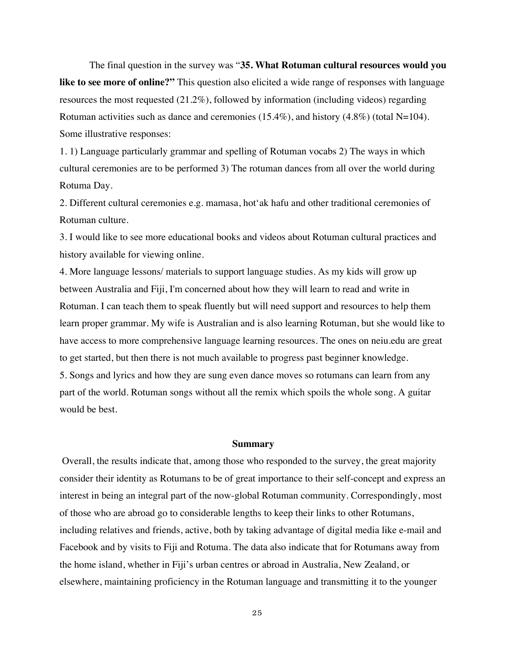The final question in the survey was "**35. What Rotuman cultural resources would you like to see more of online?"** This question also elicited a wide range of responses with language resources the most requested (21.2%), followed by information (including videos) regarding Rotuman activities such as dance and ceremonies  $(15.4\%)$ , and history  $(4.8\%)$  (total N=104). Some illustrative responses:

1. 1) Language particularly grammar and spelling of Rotuman vocabs 2) The ways in which cultural ceremonies are to be performed 3) The rotuman dances from all over the world during Rotuma Day.

2. Different cultural ceremonies e.g. mamasa, hot'ak hafu and other traditional ceremonies of Rotuman culture.

3. I would like to see more educational books and videos about Rotuman cultural practices and history available for viewing online.

4. More language lessons/ materials to support language studies. As my kids will grow up between Australia and Fiji, I'm concerned about how they will learn to read and write in Rotuman. I can teach them to speak fluently but will need support and resources to help them learn proper grammar. My wife is Australian and is also learning Rotuman, but she would like to have access to more comprehensive language learning resources. The ones on neiu.edu are great to get started, but then there is not much available to progress past beginner knowledge. 5. Songs and lyrics and how they are sung even dance moves so rotumans can learn from any part of the world. Rotuman songs without all the remix which spoils the whole song. A guitar would be best.

#### **Summary**

 Overall, the results indicate that, among those who responded to the survey, the great majority consider their identity as Rotumans to be of great importance to their self-concept and express an interest in being an integral part of the now-global Rotuman community. Correspondingly, most of those who are abroad go to considerable lengths to keep their links to other Rotumans, including relatives and friends, active, both by taking advantage of digital media like e-mail and Facebook and by visits to Fiji and Rotuma. The data also indicate that for Rotumans away from the home island, whether in Fiji's urban centres or abroad in Australia, New Zealand, or elsewhere, maintaining proficiency in the Rotuman language and transmitting it to the younger